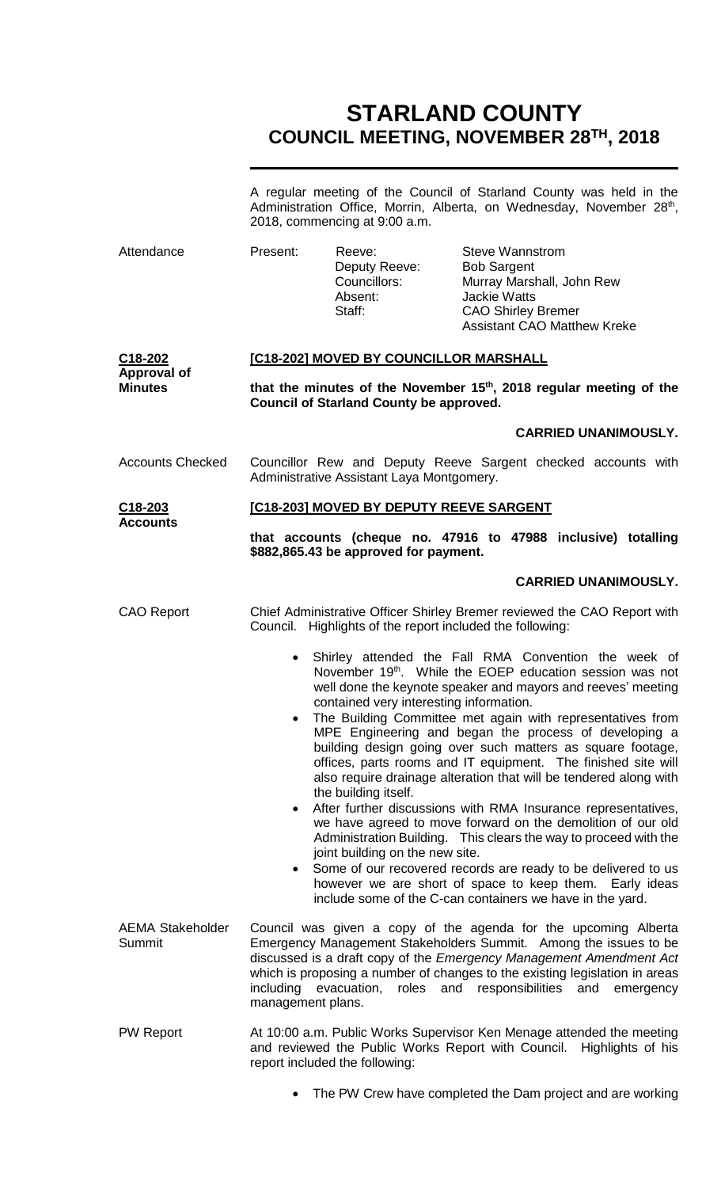# **STARLAND COUNTY COUNCIL MEETING, NOVEMBER 28TH, 2018**

|                                                              | A regular meeting of the Council of Starland County was held in the<br>Administration Office, Morrin, Alberta, on Wednesday, November 28 <sup>th</sup> ,<br>2018, commencing at 9:00 a.m.                                                                                                                                                                                                          |                                                                                                    |                                                                                                                                                                                                                                                                                                                                                                                                                                                                                                                                                                                                                                                                                                                                                                                                                                                                                                                      |  |  |
|--------------------------------------------------------------|----------------------------------------------------------------------------------------------------------------------------------------------------------------------------------------------------------------------------------------------------------------------------------------------------------------------------------------------------------------------------------------------------|----------------------------------------------------------------------------------------------------|----------------------------------------------------------------------------------------------------------------------------------------------------------------------------------------------------------------------------------------------------------------------------------------------------------------------------------------------------------------------------------------------------------------------------------------------------------------------------------------------------------------------------------------------------------------------------------------------------------------------------------------------------------------------------------------------------------------------------------------------------------------------------------------------------------------------------------------------------------------------------------------------------------------------|--|--|
| Attendance                                                   | Present:                                                                                                                                                                                                                                                                                                                                                                                           | Reeve:<br>Deputy Reeve:<br>Councillors:<br>Absent:<br>Staff:                                       | <b>Steve Wannstrom</b><br><b>Bob Sargent</b><br>Murray Marshall, John Rew<br><b>Jackie Watts</b><br><b>CAO Shirley Bremer</b><br><b>Assistant CAO Matthew Kreke</b>                                                                                                                                                                                                                                                                                                                                                                                                                                                                                                                                                                                                                                                                                                                                                  |  |  |
| C <sub>18</sub> -202<br><b>Approval of</b><br><b>Minutes</b> | [C18-202] MOVED BY COUNCILLOR MARSHALL                                                                                                                                                                                                                                                                                                                                                             |                                                                                                    |                                                                                                                                                                                                                                                                                                                                                                                                                                                                                                                                                                                                                                                                                                                                                                                                                                                                                                                      |  |  |
|                                                              | that the minutes of the November 15 <sup>th</sup> , 2018 regular meeting of the<br><b>Council of Starland County be approved.</b>                                                                                                                                                                                                                                                                  |                                                                                                    |                                                                                                                                                                                                                                                                                                                                                                                                                                                                                                                                                                                                                                                                                                                                                                                                                                                                                                                      |  |  |
|                                                              |                                                                                                                                                                                                                                                                                                                                                                                                    |                                                                                                    | <b>CARRIED UNANIMOUSLY.</b>                                                                                                                                                                                                                                                                                                                                                                                                                                                                                                                                                                                                                                                                                                                                                                                                                                                                                          |  |  |
| <b>Accounts Checked</b>                                      | Councillor Rew and Deputy Reeve Sargent checked accounts with<br>Administrative Assistant Laya Montgomery.                                                                                                                                                                                                                                                                                         |                                                                                                    |                                                                                                                                                                                                                                                                                                                                                                                                                                                                                                                                                                                                                                                                                                                                                                                                                                                                                                                      |  |  |
| C <sub>18</sub> -203<br><b>Accounts</b>                      | [C18-203] MOVED BY DEPUTY REEVE SARGENT                                                                                                                                                                                                                                                                                                                                                            |                                                                                                    |                                                                                                                                                                                                                                                                                                                                                                                                                                                                                                                                                                                                                                                                                                                                                                                                                                                                                                                      |  |  |
|                                                              | that accounts (cheque no. 47916 to 47988 inclusive) totalling<br>\$882,865.43 be approved for payment.                                                                                                                                                                                                                                                                                             |                                                                                                    |                                                                                                                                                                                                                                                                                                                                                                                                                                                                                                                                                                                                                                                                                                                                                                                                                                                                                                                      |  |  |
|                                                              |                                                                                                                                                                                                                                                                                                                                                                                                    |                                                                                                    | <b>CARRIED UNANIMOUSLY.</b>                                                                                                                                                                                                                                                                                                                                                                                                                                                                                                                                                                                                                                                                                                                                                                                                                                                                                          |  |  |
| <b>CAO Report</b>                                            | Chief Administrative Officer Shirley Bremer reviewed the CAO Report with<br>Council. Highlights of the report included the following:                                                                                                                                                                                                                                                              |                                                                                                    |                                                                                                                                                                                                                                                                                                                                                                                                                                                                                                                                                                                                                                                                                                                                                                                                                                                                                                                      |  |  |
|                                                              | $\bullet$                                                                                                                                                                                                                                                                                                                                                                                          | contained very interesting information.<br>the building itself.<br>joint building on the new site. | Shirley attended the Fall RMA Convention the week of<br>November 19 <sup>th</sup> . While the EOEP education session was not<br>well done the keynote speaker and mayors and reeves' meeting<br>The Building Committee met again with representatives from<br>MPE Engineering and began the process of developing a<br>building design going over such matters as square footage,<br>offices, parts rooms and IT equipment. The finished site will<br>also require drainage alteration that will be tendered along with<br>After further discussions with RMA Insurance representatives,<br>we have agreed to move forward on the demolition of our old<br>Administration Building. This clears the way to proceed with the<br>Some of our recovered records are ready to be delivered to us<br>however we are short of space to keep them. Early ideas<br>include some of the C-can containers we have in the yard. |  |  |
| <b>AEMA Stakeholder</b><br>Summit                            | Council was given a copy of the agenda for the upcoming Alberta<br>Emergency Management Stakeholders Summit. Among the issues to be<br>discussed is a draft copy of the Emergency Management Amendment Act<br>which is proposing a number of changes to the existing legislation in areas<br>including<br>evacuation,<br>roles<br>and<br>responsibilities<br>and<br>emergency<br>management plans. |                                                                                                    |                                                                                                                                                                                                                                                                                                                                                                                                                                                                                                                                                                                                                                                                                                                                                                                                                                                                                                                      |  |  |
| <b>PW Report</b>                                             |                                                                                                                                                                                                                                                                                                                                                                                                    | report included the following:                                                                     | At 10:00 a.m. Public Works Supervisor Ken Menage attended the meeting<br>and reviewed the Public Works Report with Council. Highlights of his                                                                                                                                                                                                                                                                                                                                                                                                                                                                                                                                                                                                                                                                                                                                                                        |  |  |
|                                                              |                                                                                                                                                                                                                                                                                                                                                                                                    |                                                                                                    | The PW Crew have completed the Dam project and are working                                                                                                                                                                                                                                                                                                                                                                                                                                                                                                                                                                                                                                                                                                                                                                                                                                                           |  |  |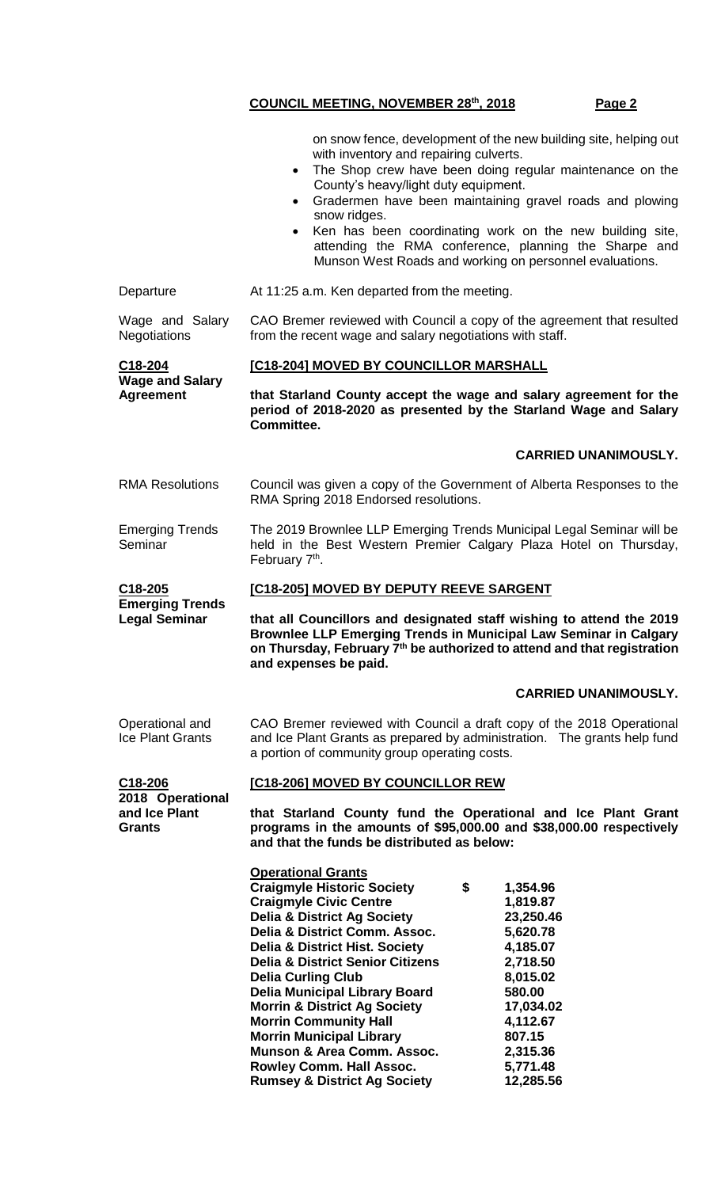**, 2018 Page 2**

|                                                           | on snow fence, development of the new building site, helping out<br>with inventory and repairing culverts.<br>The Shop crew have been doing regular maintenance on the<br>$\bullet$<br>County's heavy/light duty equipment.<br>Gradermen have been maintaining gravel roads and plowing<br>$\bullet$<br>snow ridges.<br>Ken has been coordinating work on the new building site,<br>$\bullet$<br>attending the RMA conference, planning the Sharpe and<br>Munson West Roads and working on personnel evaluations.                                                                                                                                                                                                                                      |  |  |  |  |
|-----------------------------------------------------------|--------------------------------------------------------------------------------------------------------------------------------------------------------------------------------------------------------------------------------------------------------------------------------------------------------------------------------------------------------------------------------------------------------------------------------------------------------------------------------------------------------------------------------------------------------------------------------------------------------------------------------------------------------------------------------------------------------------------------------------------------------|--|--|--|--|
| Departure                                                 | At 11:25 a.m. Ken departed from the meeting.                                                                                                                                                                                                                                                                                                                                                                                                                                                                                                                                                                                                                                                                                                           |  |  |  |  |
| Wage and Salary<br><b>Negotiations</b>                    | CAO Bremer reviewed with Council a copy of the agreement that resulted<br>from the recent wage and salary negotiations with staff.                                                                                                                                                                                                                                                                                                                                                                                                                                                                                                                                                                                                                     |  |  |  |  |
| C18-204<br><b>Wage and Salary</b><br><b>Agreement</b>     | [C18-204] MOVED BY COUNCILLOR MARSHALL                                                                                                                                                                                                                                                                                                                                                                                                                                                                                                                                                                                                                                                                                                                 |  |  |  |  |
|                                                           | that Starland County accept the wage and salary agreement for the<br>period of 2018-2020 as presented by the Starland Wage and Salary<br>Committee.                                                                                                                                                                                                                                                                                                                                                                                                                                                                                                                                                                                                    |  |  |  |  |
|                                                           | <b>CARRIED UNANIMOUSLY.</b>                                                                                                                                                                                                                                                                                                                                                                                                                                                                                                                                                                                                                                                                                                                            |  |  |  |  |
| <b>RMA Resolutions</b>                                    | Council was given a copy of the Government of Alberta Responses to the<br>RMA Spring 2018 Endorsed resolutions.                                                                                                                                                                                                                                                                                                                                                                                                                                                                                                                                                                                                                                        |  |  |  |  |
| <b>Emerging Trends</b><br>Seminar                         | The 2019 Brownlee LLP Emerging Trends Municipal Legal Seminar will be<br>held in the Best Western Premier Calgary Plaza Hotel on Thursday,<br>February 7 <sup>th</sup> .                                                                                                                                                                                                                                                                                                                                                                                                                                                                                                                                                                               |  |  |  |  |
| C18-205<br><b>Emerging Trends</b><br><b>Legal Seminar</b> | [C18-205] MOVED BY DEPUTY REEVE SARGENT                                                                                                                                                                                                                                                                                                                                                                                                                                                                                                                                                                                                                                                                                                                |  |  |  |  |
|                                                           | that all Councillors and designated staff wishing to attend the 2019<br>Brownlee LLP Emerging Trends in Municipal Law Seminar in Calgary<br>on Thursday, February 7 <sup>th</sup> be authorized to attend and that registration<br>and expenses be paid.                                                                                                                                                                                                                                                                                                                                                                                                                                                                                               |  |  |  |  |
|                                                           | <b>CARRIED UNANIMOUSLY.</b>                                                                                                                                                                                                                                                                                                                                                                                                                                                                                                                                                                                                                                                                                                                            |  |  |  |  |
| Operational and<br><b>Ice Plant Grants</b>                | CAO Bremer reviewed with Council a draft copy of the 2018 Operational<br>and Ice Plant Grants as prepared by administration. The grants help fund<br>a portion of community group operating costs.                                                                                                                                                                                                                                                                                                                                                                                                                                                                                                                                                     |  |  |  |  |
| C18-206                                                   | [C18-206] MOVED BY COUNCILLOR REW                                                                                                                                                                                                                                                                                                                                                                                                                                                                                                                                                                                                                                                                                                                      |  |  |  |  |
| 2018 Operational<br>and Ice Plant<br><b>Grants</b>        | that Starland County fund the Operational and Ice Plant Grant<br>programs in the amounts of \$95,000.00 and \$38,000.00 respectively<br>and that the funds be distributed as below:                                                                                                                                                                                                                                                                                                                                                                                                                                                                                                                                                                    |  |  |  |  |
|                                                           | <b>Operational Grants</b><br><b>Craigmyle Historic Society</b><br>\$<br>1,354.96<br><b>Craigmyle Civic Centre</b><br>1,819.87<br><b>Delia &amp; District Ag Society</b><br>23,250.46<br>Delia & District Comm. Assoc.<br>5,620.78<br><b>Delia &amp; District Hist. Society</b><br>4,185.07<br><b>Delia &amp; District Senior Citizens</b><br>2,718.50<br>8,015.02<br><b>Delia Curling Club</b><br><b>Delia Municipal Library Board</b><br>580.00<br><b>Morrin &amp; District Ag Society</b><br>17,034.02<br><b>Morrin Community Hall</b><br>4,112.67<br><b>Morrin Municipal Library</b><br>807.15<br><b>Munson &amp; Area Comm. Assoc.</b><br>2,315.36<br>Rowley Comm. Hall Assoc.<br>5,771.48<br><b>Rumsey &amp; District Ag Society</b><br>12,285.56 |  |  |  |  |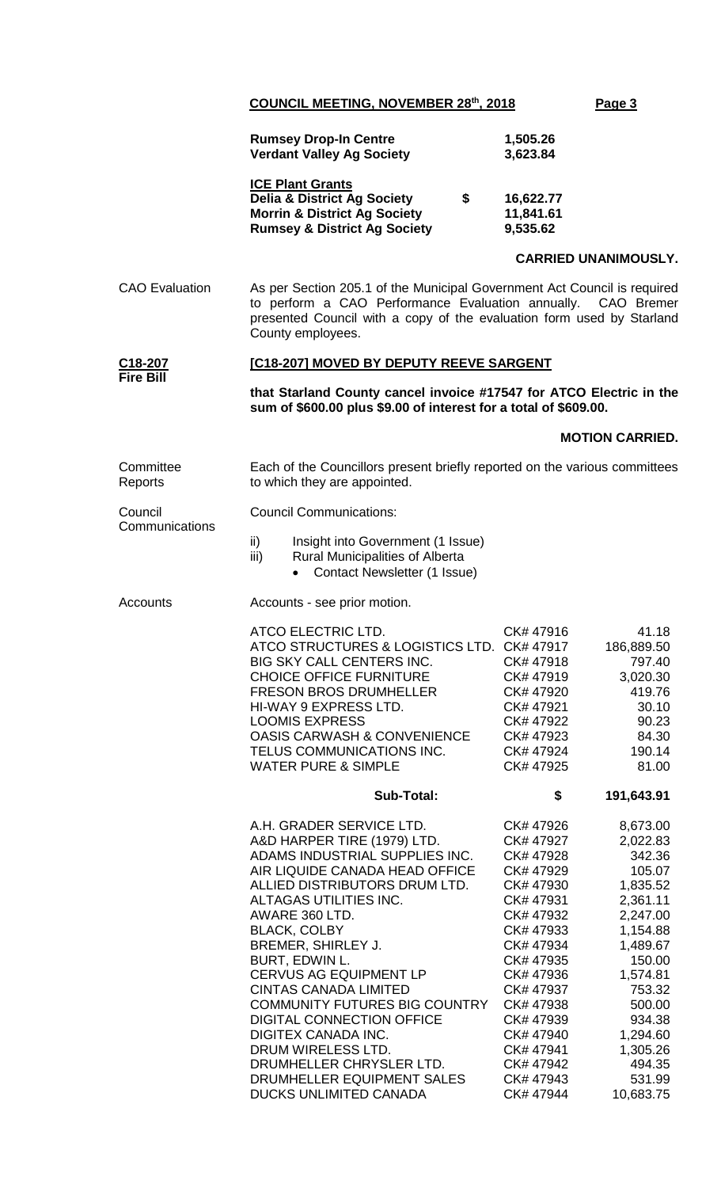**, 2018 Page 3**

|                           | <b>Rumsey Drop-In Centre</b><br><b>Verdant Valley Ag Society</b>                                                                                                                                                                                                                                                                                                                                                                                                                                                                                             | 1,505.26<br>3,623.84                                                                                                                                                                                                                                                                                                                                                                                                                                                     |  |  |  |  |
|---------------------------|--------------------------------------------------------------------------------------------------------------------------------------------------------------------------------------------------------------------------------------------------------------------------------------------------------------------------------------------------------------------------------------------------------------------------------------------------------------------------------------------------------------------------------------------------------------|--------------------------------------------------------------------------------------------------------------------------------------------------------------------------------------------------------------------------------------------------------------------------------------------------------------------------------------------------------------------------------------------------------------------------------------------------------------------------|--|--|--|--|
|                           | <b>ICE Plant Grants</b><br><b>Delia &amp; District Ag Society</b><br>\$<br><b>Morrin &amp; District Ag Society</b><br><b>Rumsey &amp; District Ag Society</b>                                                                                                                                                                                                                                                                                                                                                                                                | 16,622.77<br>11,841.61<br>9,535.62                                                                                                                                                                                                                                                                                                                                                                                                                                       |  |  |  |  |
|                           |                                                                                                                                                                                                                                                                                                                                                                                                                                                                                                                                                              | <b>CARRIED UNANIMOUSLY.</b>                                                                                                                                                                                                                                                                                                                                                                                                                                              |  |  |  |  |
| <b>CAO</b> Evaluation     | As per Section 205.1 of the Municipal Government Act Council is required<br>to perform a CAO Performance Evaluation annually. CAO Bremer<br>presented Council with a copy of the evaluation form used by Starland<br>County employees.                                                                                                                                                                                                                                                                                                                       |                                                                                                                                                                                                                                                                                                                                                                                                                                                                          |  |  |  |  |
| C <sub>18</sub> -207      | [C18-207] MOVED BY DEPUTY REEVE SARGENT                                                                                                                                                                                                                                                                                                                                                                                                                                                                                                                      |                                                                                                                                                                                                                                                                                                                                                                                                                                                                          |  |  |  |  |
| <b>Fire Bill</b>          | that Starland County cancel invoice #17547 for ATCO Electric in the<br>sum of \$600.00 plus \$9.00 of interest for a total of \$609.00.                                                                                                                                                                                                                                                                                                                                                                                                                      |                                                                                                                                                                                                                                                                                                                                                                                                                                                                          |  |  |  |  |
|                           |                                                                                                                                                                                                                                                                                                                                                                                                                                                                                                                                                              | <b>MOTION CARRIED.</b>                                                                                                                                                                                                                                                                                                                                                                                                                                                   |  |  |  |  |
| Committee<br>Reports      | Each of the Councillors present briefly reported on the various committees<br>to which they are appointed.                                                                                                                                                                                                                                                                                                                                                                                                                                                   |                                                                                                                                                                                                                                                                                                                                                                                                                                                                          |  |  |  |  |
| Council<br>Communications | <b>Council Communications:</b>                                                                                                                                                                                                                                                                                                                                                                                                                                                                                                                               |                                                                                                                                                                                                                                                                                                                                                                                                                                                                          |  |  |  |  |
|                           | $\mathsf{ii}$<br>Insight into Government (1 Issue)<br>Rural Municipalities of Alberta<br>iii)<br>• Contact Newsletter (1 Issue)                                                                                                                                                                                                                                                                                                                                                                                                                              |                                                                                                                                                                                                                                                                                                                                                                                                                                                                          |  |  |  |  |
| Accounts                  | Accounts - see prior motion.                                                                                                                                                                                                                                                                                                                                                                                                                                                                                                                                 |                                                                                                                                                                                                                                                                                                                                                                                                                                                                          |  |  |  |  |
|                           | ATCO ELECTRIC LTD.<br>ATCO STRUCTURES & LOGISTICS LTD. CK# 47917<br>BIG SKY CALL CENTERS INC.<br><b>CHOICE OFFICE FURNITURE</b><br><b>FRESON BROS DRUMHELLER</b><br>HI-WAY 9 EXPRESS LTD.<br><b>LOOMIS EXPRESS</b><br><b>OASIS CARWASH &amp; CONVENIENCE</b><br>TELUS COMMUNICATIONS INC.<br><b>WATER PURE &amp; SIMPLE</b>                                                                                                                                                                                                                                  | CK#47916<br>41.18<br>186,889.50<br>CK# 47918<br>797.40<br>CK# 47919<br>3,020.30<br>419.76<br>CK# 47920<br>30.10<br>CK# 47921<br>90.23<br>CK# 47922<br>84.30<br>CK# 47923<br>190.14<br>CK# 47924<br>CK# 47925<br>81.00                                                                                                                                                                                                                                                    |  |  |  |  |
|                           | <b>Sub-Total:</b>                                                                                                                                                                                                                                                                                                                                                                                                                                                                                                                                            | \$<br>191,643.91                                                                                                                                                                                                                                                                                                                                                                                                                                                         |  |  |  |  |
|                           | A.H. GRADER SERVICE LTD.<br>A&D HARPER TIRE (1979) LTD.<br>ADAMS INDUSTRIAL SUPPLIES INC.<br>AIR LIQUIDE CANADA HEAD OFFICE<br>ALLIED DISTRIBUTORS DRUM LTD.<br>ALTAGAS UTILITIES INC.<br>AWARE 360 LTD.<br><b>BLACK, COLBY</b><br>BREMER, SHIRLEY J.<br>BURT, EDWIN L.<br><b>CERVUS AG EQUIPMENT LP</b><br><b>CINTAS CANADA LIMITED</b><br>COMMUNITY FUTURES BIG COUNTRY<br><b>DIGITAL CONNECTION OFFICE</b><br><b>DIGITEX CANADA INC.</b><br>DRUM WIRELESS LTD.<br>DRUMHELLER CHRYSLER LTD.<br>DRUMHELLER EQUIPMENT SALES<br><b>DUCKS UNLIMITED CANADA</b> | 8,673.00<br>CK# 47926<br>2,022.83<br>CK# 47927<br>342.36<br>CK# 47928<br>105.07<br>CK# 47929<br>1,835.52<br>CK# 47930<br>CK# 47931<br>2,361.11<br>CK# 47932<br>2,247.00<br>1,154.88<br>CK# 47933<br>1,489.67<br>CK# 47934<br>150.00<br>CK# 47935<br>1,574.81<br>CK# 47936<br>753.32<br>CK# 47937<br>500.00<br>CK# 47938<br>CK# 47939<br>934.38<br>1,294.60<br>CK# 47940<br>CK# 47941<br>1,305.26<br>CK# 47942<br>494.35<br>CK# 47943<br>531.99<br>CK# 47944<br>10,683.75 |  |  |  |  |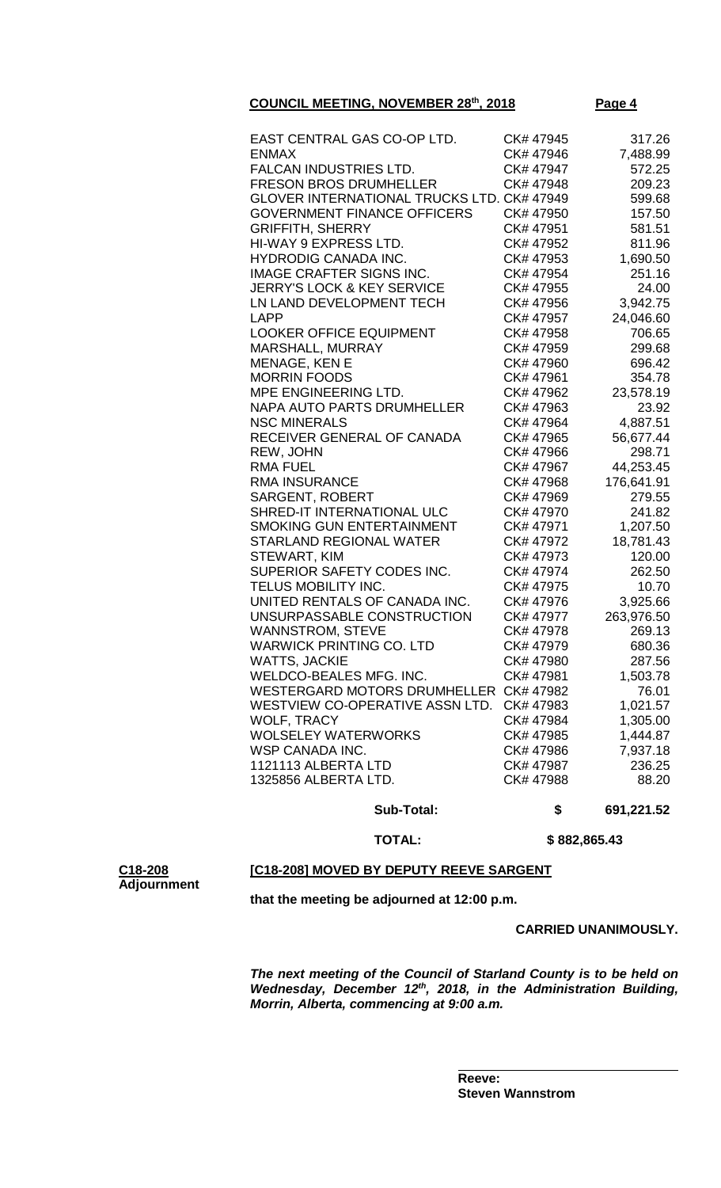**Page 4** 

| 1325856 ALBERTA LTD.                              | CK# 47987<br>CK# 47988 | 236.25<br>88.20 |
|---------------------------------------------------|------------------------|-----------------|
|                                                   |                        |                 |
|                                                   |                        |                 |
| 1121113 ALBERTA LTD                               | CK# 47986              | 7,937.18        |
| WSP CANADA INC.                                   |                        |                 |
| <b>WOLSELEY WATERWORKS</b>                        | CK# 47985              | 1,444.87        |
| WOLF, TRACY                                       | CK# 47984              | 1,305.00        |
| WESTVIEW CO-OPERATIVE ASSN LTD.                   | CK# 47983              | 1,021.57        |
| WESTERGARD MOTORS DRUMHELLER CK# 47982            |                        | 76.01           |
| WELDCO-BEALES MFG. INC.                           | CK# 47981              | 1,503.78        |
| <b>WATTS, JACKIE</b>                              | CK# 47980              | 287.56          |
| <b>WARWICK PRINTING CO. LTD</b>                   | CK# 47979              | 680.36          |
| <b>WANNSTROM, STEVE</b>                           | CK# 47978              | 269.13          |
| UNSURPASSABLE CONSTRUCTION                        | CK# 47977              | 263,976.50      |
| UNITED RENTALS OF CANADA INC.                     | CK# 47976              | 3,925.66        |
| TELUS MOBILITY INC.                               | CK# 47975              | 10.70           |
| SUPERIOR SAFETY CODES INC.                        | CK# 47974              | 262.50          |
| STEWART, KIM                                      | CK# 47973              | 120.00          |
| <b>STARLAND REGIONAL WATER</b>                    | CK# 47972              | 18,781.43       |
| <b>SMOKING GUN ENTERTAINMENT</b>                  | CK# 47971              | 1,207.50        |
| SHRED-IT INTERNATIONAL ULC                        | CK# 47970              | 241.82          |
| <b>SARGENT, ROBERT</b>                            | CK# 47969              | 279.55          |
| <b>RMA INSURANCE</b>                              | CK# 47968              | 176,641.91      |
| <b>RMA FUEL</b>                                   | CK# 47967              | 44,253.45       |
| REW, JOHN                                         | CK# 47966              | 298.71          |
| RECEIVER GENERAL OF CANADA                        | CK# 47965              | 56,677.44       |
| <b>NSC MINERALS</b>                               | CK# 47964              | 4,887.51        |
| <b>NAPA AUTO PARTS DRUMHELLER</b>                 | CK# 47963              | 23.92           |
| MPE ENGINEERING LTD.                              | CK# 47962              | 23,578.19       |
| <b>MORRIN FOODS</b>                               | CK# 47961              | 354.78          |
| MENAGE, KEN E                                     | CK# 47960              | 696.42          |
| MARSHALL, MURRAY                                  | CK# 47959              | 299.68          |
| <b>LOOKER OFFICE EQUIPMENT</b>                    | CK# 47958              | 706.65          |
| <b>LAPP</b>                                       | CK# 47957              | 24,046.60       |
| LN LAND DEVELOPMENT TECH                          | CK# 47956              | 3,942.75        |
| <b>JERRY'S LOCK &amp; KEY SERVICE</b>             | CK# 47955              | 24.00           |
| <b>IMAGE CRAFTER SIGNS INC.</b>                   | CK# 47954              | 251.16          |
| <b>HYDRODIG CANADA INC.</b>                       | CK# 47953              | 1,690.50        |
| HI-WAY 9 EXPRESS LTD.                             | CK# 47952              | 811.96          |
| <b>GRIFFITH, SHERRY</b>                           | CK# 47951              | 581.51          |
| <b>GOVERNMENT FINANCE OFFICERS</b>                | CK# 47950              | 157.50          |
| <b>GLOVER INTERNATIONAL TRUCKS LTD. CK# 47949</b> |                        | 599.68          |
| <b>FRESON BROS DRUMHELLER</b>                     | CK# 47948              | 209.23          |
| <b>FALCAN INDUSTRIES LTD.</b>                     | CK# 47947              | 572.25          |
| <b>ENMAX</b>                                      | CK# 47946              | 7,488.99        |
| EAST CENTRAL GAS CO-OP LTD.                       | CK#47945               | 317.26          |

 **TOTAL: \$ 882,865.43**

### **[C18-208] MOVED BY DEPUTY REEVE SARGENT**

**C18-208 Adjournment**

**that the meeting be adjourned at 12:00 p.m.**

### **CARRIED UNANIMOUSLY.**

*The next meeting of the Council of Starland County is to be held on Wednesday, December 12th, 2018, in the Administration Building, Morrin, Alberta, commencing at 9:00 a.m.*

**Reeve: Steven Wannstrom**